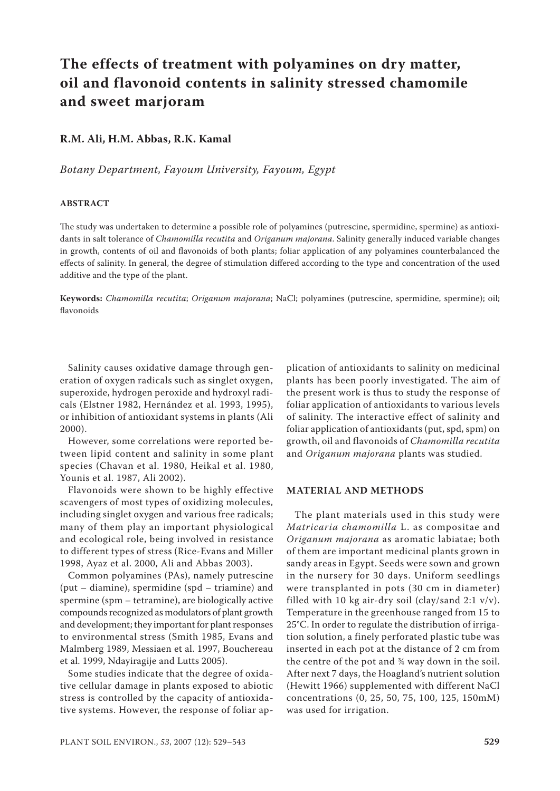# **The effects of treatment with polyamines on dry matter, oil and flavonoid contents in salinity stressed chamomile and sweet marjoram**

# **R.M. Ali, H.M. Abbas, R.K. Kamal**

*Botany Department, Fayoum University, Fayoum, Egypt*

## **ABSTRACT**

The study was undertaken to determine a possible role of polyamines (putrescine, spermidine, spermine) as antioxidants in salt tolerance of *Chamomilla recutita* and *Origanum majorana*. Salinity generally induced variable changes in growth, contents of oil and flavonoids of both plants; foliar application of any polyamines counterbalanced the effects of salinity. In general, the degree of stimulation differed according to the type and concentration of the used additive and the type of the plant.

**Keywords:** *Chamomilla recutita*; *Origanum majorana*; NaCl; polyamines (putrescine, spermidine, spermine); oil; flavonoids

Salinity causes oxidative damage through generation of oxygen radicals such as singlet oxygen, superoxide, hydrogen peroxide and hydroxyl radicals (Elstner 1982, Hernández et al. 1993, 1995), or inhibition of antioxidant systems in plants (Ali 2000).

However, some correlations were reported between lipid content and salinity in some plant species (Chavan et al. 1980, Heikal et al. 1980, Younis et al. 1987, Ali 2002).

Flavonoids were shown to be highly effective scavengers of most types of oxidizing molecules, including singlet oxygen and various free radicals; many of them play an important physiological and ecological role, being involved in resistance to different types of stress (Rice-Evans and Miller 1998, Ayaz et al. 2000, Ali and Abbas 2003).

Common polyamines (PAs), namely putrescine (put – diamine), spermidine (spd – triamine) and spermine (spm – tetramine), are biologically active compounds recognized as modulators of plant growth and development; they important for plant responses to environmental stress (Smith 1985, Evans and Malmberg 1989, Messiaen et al. 1997, Bouchereau et al. 1999, Ndayiragije and Lutts 2005).

Some studies indicate that the degree of oxidative cellular damage in plants exposed to abiotic stress is controlled by the capacity of antioxidative systems. However, the response of foliar application of antioxidants to salinity on medicinal plants has been poorly investigated. The aim of the present work is thus to study the response of foliar application of antioxidants to various levels of salinity. The interactive effect of salinity and foliar application of antioxidants (put, spd, spm) on growth, oil and flavonoids of *Chamomilla recutita* and *Origanum majorana* plants was studied.

#### **MATERIAL AND METHODS**

The plant materials used in this study were *Matricaria chamomilla* L. as compositae and *Origanum majorana* as aromatic labiatae; both of them are important medicinal plants grown in sandy areas in Egypt. Seeds were sown and grown in the nursery for 30 days. Uniform seedlings were transplanted in pots (30 cm in diameter) filled with 10 kg air-dry soil (clay/sand 2:1 v/v). Temperature in the greenhouse ranged from 15 to 25°C. In order to regulate the distribution of irrigation solution, a finely perforated plastic tube was inserted in each pot at the distance of 2 cm from the centre of the pot and ¾ way down in the soil. After next 7 days, the Hoagland's nutrient solution (Hewitt 1966) supplemented with different NaCl concentrations (0, 25, 50, 75, 100, 125, 150mM) was used for irrigation.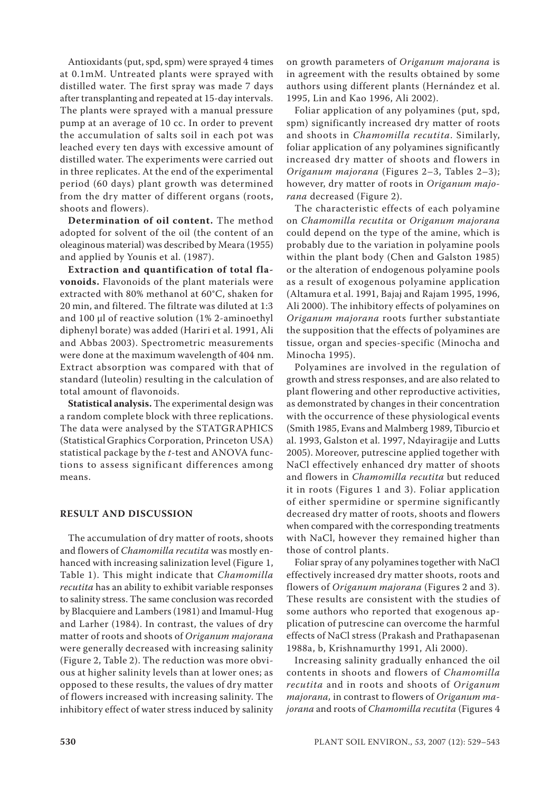Antioxidants (put, spd, spm) were sprayed 4 times at 0.1mM. Untreated plants were sprayed with distilled water. The first spray was made 7 days after transplanting and repeated at 15-day intervals. The plants were sprayed with a manual pressure pump at an average of 10 cc. In order to prevent the accumulation of salts soil in each pot was leached every ten days with excessive amount of distilled water. The experiments were carried out in three replicates. At the end of the experimental period (60 days) plant growth was determined from the dry matter of different organs (roots, shoots and flowers).

**Determination of oil content.** The method adopted for solvent of the oil (the content of an oleaginous material) was described by Meara (1955) and applied by Younis et al. (1987).

**Extraction and quantification of total flavonoids.** Flavonoids of the plant materials were extracted with 80% methanol at 60°C, shaken for 20 min, and filtered. The filtrate was diluted at 1:3 and 100 µl of reactive solution (1% 2-aminoethyl diphenyl borate) was added (Hariri et al. 1991, Ali and Abbas 2003). Spectrometric measurements were done at the maximum wavelength of 404 nm. Extract absorption was compared with that of standard (luteolin) resulting in the calculation of total amount of flavonoids.

**Statistical analysis.** The experimental design was a random complete block with three replications. The data were analysed by the STATGRAPHICS (Statistical Graphics Corporation, Princeton USA) statistical package by the *t*-test and ANOVA functions to assess significant differences among means.

# **RESULT AND DISCUSSION**

The accumulation of dry matter of roots, shoots and flowers of *Chamomilla recutita* was mostly enhanced with increasing salinization level (Figure 1, Table 1). This might indicate that *Chamomilla recutita* has an ability to exhibit variable responses to salinity stress. The same conclusion was recorded by Blacquiere and Lambers (1981) and Imamul-Hug and Larher (1984). In contrast, the values of dry matter of roots and shoots of *Origanum majorana* were generally decreased with increasing salinity (Figure 2, Table 2). The reduction was more obvious at higher salinity levels than at lower ones; as opposed to these results, the values of dry matter of flowers increased with increasing salinity. The inhibitory effect of water stress induced by salinity on growth parameters of *Origanum majorana* is in agreement with the results obtained by some authors using different plants (Hernández et al. 1995, Lin and Kao 1996, Ali 2002).

Foliar application of any polyamines (put, spd, spm) significantly increased dry matter of roots and shoots in *Chamomilla recutita*. Similarly, foliar application of any polyamines significantly increased dry matter of shoots and flowers in *Origanum majorana* (Figures 2–3, Tables 2–3); however, dry matter of roots in *Origanum majorana* decreased (Figure 2).

The characteristic effects of each polyamine on *Chamomilla recutita* or *Origanum majorana* could depend on the type of the amine, which is probably due to the variation in polyamine pools within the plant body (Chen and Galston 1985) or the alteration of endogenous polyamine pools as a result of exogenous polyamine application (Altamura et al. 1991, Bajaj and Rajam 1995, 1996, Ali 2000). The inhibitory effects of polyamines on *Origanum majorana* roots further substantiate the supposition that the effects of polyamines are tissue, organ and species-specific (Minocha and Minocha 1995).

Polyamines are involved in the regulation of growth and stress responses, and are also related to plant flowering and other reproductive activities, as demonstrated by changes in their concentration with the occurrence of these physiological events (Smith 1985, Evans and Malmberg 1989, Tiburcio et al. 1993, Galston et al. 1997, Ndayiragije and Lutts 2005). Moreover, putrescine applied together with NaCl effectively enhanced dry matter of shoots and flowers in *Chamomilla recutita* but reduced it in roots (Figures 1 and 3). Foliar application of either spermidine or spermine significantly decreased dry matter of roots, shoots and flowers when compared with the corresponding treatments with NaCl, however they remained higher than those of control plants.

Foliar spray of any polyamines together with NaCl effectively increased dry matter shoots, roots and flowers of *Origanum majorana* (Figures 2 and 3). These results are consistent with the studies of some authors who reported that exogenous application of putrescine can overcome the harmful effects of NaCl stress (Prakash and Prathapasenan 1988a, b, Krishnamurthy 1991, Ali 2000).

Increasing salinity gradually enhanced the oil contents in shoots and flowers of *Chamomilla recutita* and in roots and shoots of *Origanum majorana,* in contrast to flowers of *Origanum majorana* and roots of *Chamomilla recutita* (Figures 4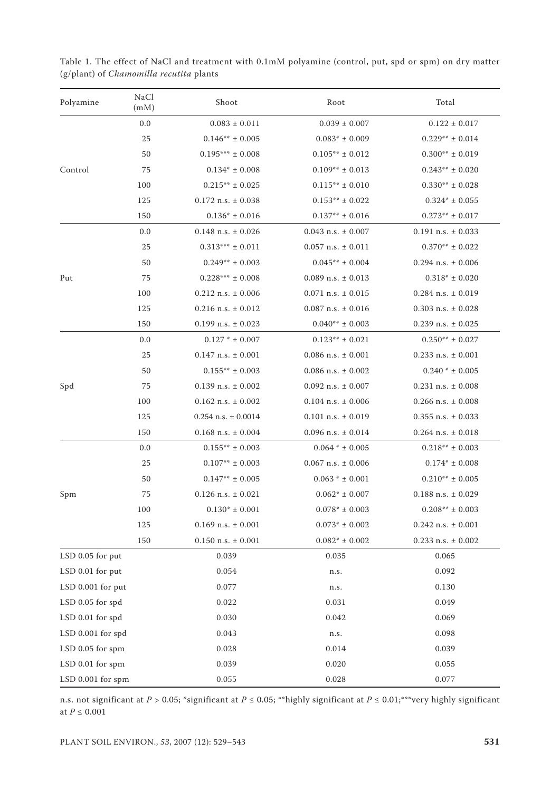| Polyamine         | NaCl<br>(mM) | Shoot                     | Root                     | Total                    |  |
|-------------------|--------------|---------------------------|--------------------------|--------------------------|--|
|                   | 0.0          | $0.083 \pm 0.011$         | $0.039 \pm 0.007$        | $0.122 \pm 0.017$        |  |
|                   | 25           | $0.146** \pm 0.005$       | $0.083* \pm 0.009$       | $0.229** \pm 0.014$      |  |
|                   | 50           | $0.195***\pm0.008$        | $0.105** \pm 0.012$      | $0.300** \pm 0.019$      |  |
| Control           | 75           | $0.134* \pm 0.008$        | $0.109** \pm 0.013$      | $0.243** \pm 0.020$      |  |
|                   | 100          | $0.215** \pm 0.025$       | $0.115** \pm 0.010$      | $0.330** \pm 0.028$      |  |
|                   | 125          | $0.172$ n.s. $\pm$ 0.038  | $0.153** \pm 0.022$      | $0.324* \pm 0.055$       |  |
|                   | 150          | $0.136* \pm 0.016$        | $0.137** \pm 0.016$      | $0.273** \pm 0.017$      |  |
|                   | 0.0          | $0.148$ n.s. $\pm$ 0.026  | $0.043$ n.s. $\pm$ 0.007 | $0.191$ n.s. $\pm$ 0.033 |  |
|                   | 25           | $0.313*** \pm 0.011$      | $0.057$ n.s. $\pm$ 0.011 | $0.370** \pm 0.022$      |  |
|                   | 50           | $0.249** \pm 0.003$       | $0.045** \pm 0.004$      | $0.294$ n.s. $\pm 0.006$ |  |
| Put               | 75           | $0.228***\pm 0.008$       | $0.089$ n.s. $\pm 0.013$ | $0.318* \pm 0.020$       |  |
|                   | 100          | $0.212$ n.s. $\pm$ 0.006  | $0.071$ n.s. $\pm$ 0.015 | $0.284$ n.s. $\pm$ 0.019 |  |
|                   | 125          | $0.216$ n.s. $\pm$ 0.012  | $0.087$ n.s. $\pm$ 0.016 | $0.303$ n.s. $\pm 0.028$ |  |
|                   | 150          | $0.199$ n.s. $\pm$ 0.023  | $0.040** \pm 0.003$      | $0.239$ n.s. $\pm 0.025$ |  |
|                   | 0.0          | $0.127 * ± 0.007$         | $0.123** \pm 0.021$      | $0.250** + 0.027$        |  |
|                   | 25           | $0.147$ n.s. $\pm$ 0.001  | $0.086$ n.s. $\pm$ 0.001 | $0.233$ n.s. $\pm 0.001$ |  |
|                   | 50           | $0.155** \pm 0.003$       | $0.086$ n.s. $\pm$ 0.002 | $0.240 * ± 0.005$        |  |
| Spd               | 75           | $0.139$ n.s. $\pm 0.002$  | $0.092$ n.s. $\pm$ 0.007 | $0.231$ n.s. $\pm 0.008$ |  |
|                   | 100          | $0.162$ n.s. $\pm$ 0.002  | $0.104$ n.s. $\pm$ 0.006 | $0.266$ n.s. $\pm 0.008$ |  |
|                   | 125          | $0.254$ n.s. $\pm 0.0014$ | $0.101$ n.s. $\pm$ 0.019 | $0.355$ n.s. $\pm$ 0.033 |  |
|                   | 150          | $0.168$ n.s. $\pm 0.004$  | $0.096$ n.s. $\pm$ 0.014 | $0.264$ n.s. $\pm 0.018$ |  |
|                   | 0.0          | $0.155** \pm 0.003$       | $0.064$ * $\pm$ 0.005    | $0.218** \pm 0.003$      |  |
|                   | 25           | $0.107** \pm 0.003$       | $0.067$ n.s. $\pm$ 0.006 | $0.174* \pm 0.008$       |  |
|                   | 50           | $0.147** \pm 0.005$       | $0.063 * ± 0.001$        | $0.210** \pm 0.005$      |  |
| Spm               | 75           | $0.126$ n.s. $\pm$ 0.021  | $0.062* \pm 0.007$       | $0.188$ n.s. $\pm 0.029$ |  |
|                   | 100          | $0.130* \pm 0.001$        | $0.078^{*} \pm 0.003$    | $0.208** \pm 0.003$      |  |
|                   | 125          | $0.169$ n.s. $\pm$ 0.001  | $0.073* \pm 0.002$       | $0.242$ n.s. $\pm$ 0.001 |  |
|                   | 150          | $0.150$ n.s. $\pm$ 0.001  | $0.082^*\pm\,0.002$      | 0.233 n.s. $\pm$ 0.002   |  |
| LSD 0.05 for put  |              | 0.039                     | 0.035                    | 0.065                    |  |
| LSD 0.01 for put  |              | 0.054                     | n.s.                     | 0.092                    |  |
| LSD 0.001 for put |              | 0.077                     | n.s.                     | 0.130                    |  |
| LSD 0.05 for spd  |              | 0.022                     | 0.031                    | 0.049                    |  |
| LSD 0.01 for spd  |              | 0.030                     | 0.042                    | 0.069                    |  |
| LSD 0.001 for spd |              | 0.043                     | n.s.                     | 0.098                    |  |
| LSD 0.05 for spm  |              | 0.028                     | 0.014                    | 0.039                    |  |
| LSD 0.01 for spm  |              | 0.039                     | 0.020                    | 0.055                    |  |
| LSD 0.001 for spm |              | 0.055                     | 0.028                    | 0.077                    |  |

Table 1. The effect of NaCl and treatment with 0.1mM polyamine (control, put, spd or spm) on dry matter (g/plant) of *Chamomilla recutita* plants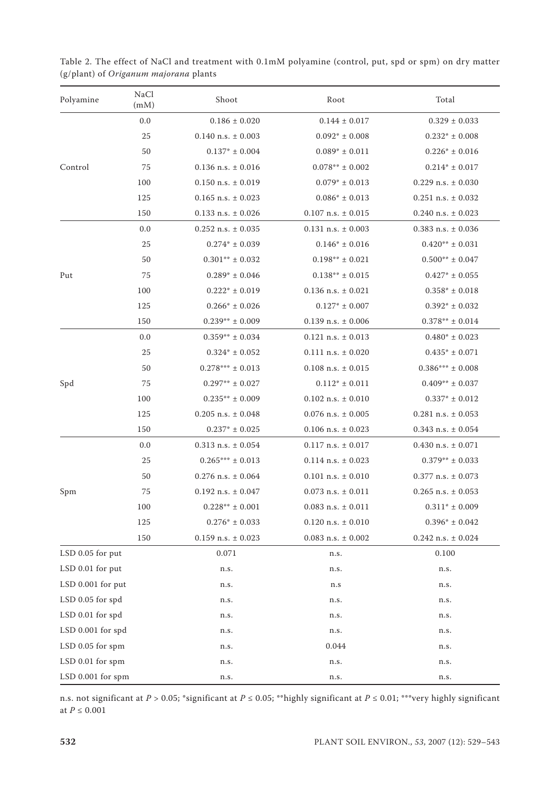| Polyamine         | NaCl<br>(mM) | Shoot                    | Root                     | Total                        |
|-------------------|--------------|--------------------------|--------------------------|------------------------------|
|                   | 0.0          | $0.186 \pm 0.020$        | $0.144 \pm 0.017$        | $0.329 \pm 0.033$            |
|                   | 25           | $0.140$ n.s. $\pm$ 0.003 | $0.092* \pm 0.008$       | $0.232^{*} \pm 0.008$        |
|                   | 50           | $0.137* \pm 0.004$       | $0.089* \pm 0.011$       | $0.226* \pm 0.016$           |
| Control           | 75           | $0.136$ n.s. $\pm 0.016$ | $0.078** \pm 0.002$      | $0.214* \pm 0.017$           |
|                   | 100          | $0.150$ n.s. $\pm$ 0.019 | $0.079* \pm 0.013$       | $0.229$ n.s. $\pm$ 0.030     |
|                   | 125          | $0.165$ n.s. $\pm$ 0.023 | $0.086* \pm 0.013$       | $0.251$ n.s. $\pm$ 0.032     |
|                   | 150          | $0.133$ n.s. $\pm$ 0.026 | $0.107$ n.s. $\pm$ 0.015 | $0.240$ n.s. $\pm$ 0.023     |
|                   | 0.0          | $0.252$ n.s. $\pm$ 0.035 | $0.131$ n.s. $\pm$ 0.003 | $0.383$ n.s. $\pm$ 0.036     |
|                   | 25           | $0.274* \pm 0.039$       | $0.146* \pm 0.016$       | $0.420** \pm 0.031$          |
|                   | 50           | $0.301** \pm 0.032$      | $0.198** \pm 0.021$      | $0.500** \pm 0.047$          |
| Put               | 75           | $0.289* \pm 0.046$       | $0.138^{**} \pm 0.015$   | $0.427* \pm 0.055$           |
|                   | 100          | $0.222* \pm 0.019$       | $0.136$ n.s. $\pm$ 0.021 | $0.358* \pm 0.018$           |
|                   | 125          | $0.266* \pm 0.026$       | $0.127* \pm 0.007$       | $0.392* \pm 0.032$           |
|                   | 150          | $0.239** \pm 0.009$      | $0.139$ n.s. $\pm 0.006$ | $0.378^{\ast\ast} \pm 0.014$ |
|                   | 0.0          | $0.359** \pm 0.034$      | $0.121$ n.s. $\pm$ 0.013 | $0.480* \pm 0.023$           |
|                   | 25           | $0.324* \pm 0.052$       | $0.111$ n.s. $\pm$ 0.020 | $0.435* \pm 0.071$           |
|                   | 50           | $0.278***\pm 0.013$      | $0.108$ n.s. $\pm$ 0.015 | $0.386***$ ± 0.008           |
| Spd               | 75           | $0.297** \pm 0.027$      | $0.112* \pm 0.011$       | $0.409** \pm 0.037$          |
|                   | 100          | $0.235** \pm 0.009$      | $0.102$ n.s. $\pm$ 0.010 | $0.337* \pm 0.012$           |
|                   | 125          | $0.205$ n.s. $\pm 0.048$ | $0.076$ n.s. $\pm$ 0.005 | $0.281$ n.s. $\pm 0.053$     |
|                   | 150          | $0.237* \pm 0.025$       | $0.106$ n.s. $\pm$ 0.023 | $0.343$ n.s. $\pm 0.054$     |
|                   | 0.0          | $0.313$ n.s. $\pm 0.054$ | $0.117$ n.s. $\pm$ 0.017 | $0.430$ n.s. $\pm$ 0.071     |
|                   | 25           | $0.265***\pm0.013$       | $0.114$ n.s. $\pm$ 0.023 | $0.379** \pm 0.033$          |
|                   | 50           | $0.276$ n.s. $\pm$ 0.064 | $0.101$ n.s. $\pm$ 0.010 | $0.377$ n.s. $\pm$ 0.073     |
| Spm               | 75           | $0.192$ n.s. $\pm 0.047$ | $0.073$ n.s. $\pm$ 0.011 | $0.265$ n.s. $\pm$ 0.053     |
|                   | 100          | $0.228** \pm 0.001$      | 0.083 n.s. $\pm$ 0.011   | $0.311* \pm 0.009$           |
|                   | 125          | $0.276* \pm 0.033$       | $0.120$ n.s. $\pm$ 0.010 | $0.396* \pm 0.042$           |
|                   | 150          | $0.159$ n.s. $\pm$ 0.023 | $0.083$ n.s. $\pm$ 0.002 | $0.242$ n.s. $\pm$ 0.024     |
| LSD 0.05 for put  |              | 0.071                    | n.s.                     | 0.100                        |
| LSD 0.01 for put  |              | n.s.                     | n.s.                     | n.s.                         |
| LSD 0.001 for put |              | n.s.                     | n.s                      | n.s.                         |
| LSD 0.05 for spd  |              | n.s.                     | n.s.                     | n.s.                         |
| LSD 0.01 for spd  |              | n.s.                     | n.s.                     | n.s.                         |
| LSD 0.001 for spd |              | n.s.                     | n.s.                     | n.s.                         |
| LSD 0.05 for spm  |              | n.s.                     | 0.044                    | n.s.                         |
| LSD 0.01 for spm  |              | n.s.                     | n.s.                     | n.s.                         |
| LSD 0.001 for spm |              | n.s.                     | n.s.                     | n.s.                         |

Table 2. The effect of NaCl and treatment with 0.1mM polyamine (control, put, spd or spm) on dry matter (g/plant) of *Origanum majorana* plants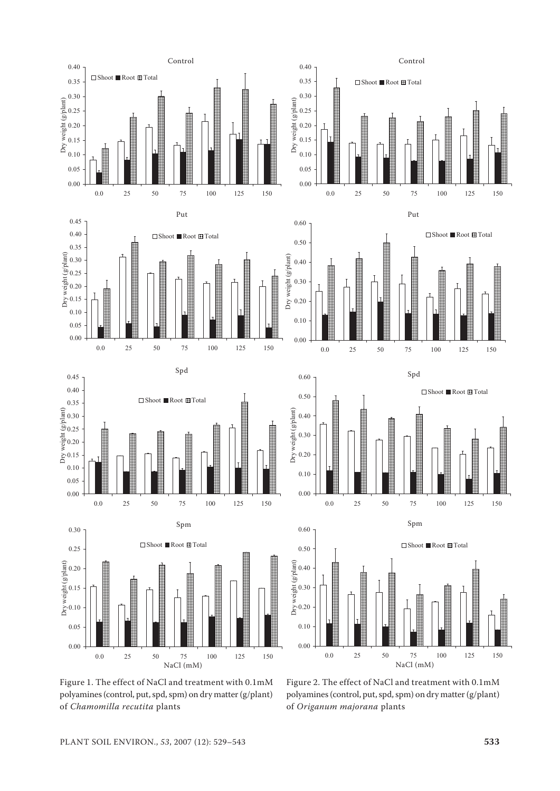

Figure 1. The effect of NaCl and treatment with 0.1mM polyamines (control, put, spd, spm) on dry matter (g/plant) of *Chamomilla recutita* plants

Figure 2. The effect of NaCl and treatment with 0.1mM polyamines (control, put, spd, spm) on dry matter (g/plant) of *Origanum majorana* plants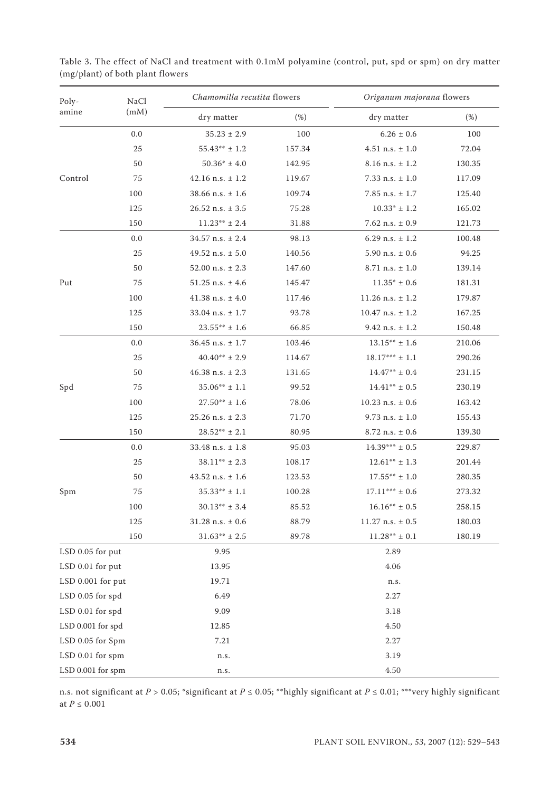| Poly-             | NaCl    | Chamomilla recutita flowers |        |                            | Origanum majorana flowers |  |  |
|-------------------|---------|-----------------------------|--------|----------------------------|---------------------------|--|--|
| amine             | (mM)    | dry matter                  | (%)    | dry matter                 | (%)                       |  |  |
|                   | 0.0     | $35.23 \pm 2.9$             | 100    | $6.26 \pm 0.6$             | 100                       |  |  |
|                   | 25      | $55.43** \pm 1.2$           | 157.34 | 4.51 n.s. $\pm$ 1.0        | 72.04                     |  |  |
|                   | 50      | $50.36* \pm 4.0$            | 142.95 | $8.16$ n.s. $\pm$ 1.2      | 130.35                    |  |  |
| Control           | 75      | 42.16 n.s. $\pm$ 1.2        | 119.67 | 7.33 n.s. $\pm$ 1.0        | 117.09                    |  |  |
|                   | 100     | 38.66 n.s. $\pm$ 1.6        | 109.74 | $7.85$ n.s. $\pm$ 1.7      | 125.40                    |  |  |
|                   | 125     | $26.52$ n.s. $\pm 3.5$      | 75.28  | $10.33* \pm 1.2$           | 165.02                    |  |  |
|                   | 150     | $11.23** \pm 2.4$           | 31.88  | $7.62$ n.s. $\pm$ 0.9      | 121.73                    |  |  |
|                   | $0.0\,$ | 34.57 n.s. $\pm 2.4$        | 98.13  | 6.29 n.s. $\pm$ 1.2        | 100.48                    |  |  |
|                   | $25\,$  | 49.52 n.s. $\pm$ 5.0        | 140.56 | 5.90 n.s. $\pm$ 0.6        | 94.25                     |  |  |
|                   | 50      | 52.00 n.s. $\pm$ 2.3        | 147.60 | $8.71$ n.s. $\pm 1.0$      | 139.14                    |  |  |
| Put               | 75      | 51.25 n.s. $\pm$ 4.6        | 145.47 | $11.35* \pm 0.6$           | 181.31                    |  |  |
|                   | 100     | 41.38 n.s. $\pm$ 4.0        | 117.46 | $11.26$ n.s. $\pm$ 1.2     | 179.87                    |  |  |
|                   | 125     | 33.04 n.s. $\pm$ 1.7        | 93.78  | $10.47$ n.s. $\pm$ 1.2     | 167.25                    |  |  |
|                   | 150     | $23.55^{**} \pm 1.6$        | 66.85  | $9.42$ n.s. $\pm$ 1.2      | 150.48                    |  |  |
|                   | $0.0\,$ | $36.45$ n.s. $\pm$ 1.7      | 103.46 | $13.15** \pm 1.6$          | 210.06                    |  |  |
|                   | 25      | $40.40** \pm 2.9$           | 114.67 | $18.17*** \pm 1.1$         | 290.26                    |  |  |
|                   | 50      | 46.38 n.s. $\pm 2.3$        | 131.65 | $14.47** \pm 0.4$          | 231.15                    |  |  |
| Spd               | 75      | $35.06** \pm 1.1$           | 99.52  | $14.41** \pm 0.5$          | 230.19                    |  |  |
|                   | 100     | $27.50** \pm 1.6$           | 78.06  | 10.23 n.s. $\pm$ 0.6       | 163.42                    |  |  |
|                   | 125     | $25.26$ n.s. $\pm 2.3$      | 71.70  | $9.73$ n.s. $\pm 1.0$      | 155.43                    |  |  |
|                   | 150     | $28.52^{**} \pm 2.1$        | 80.95  | $8.72$ n.s. $\pm$ 0.6      | 139.30                    |  |  |
|                   | 0.0     | 33.48 n.s. $\pm$ 1.8        | 95.03  | $14.39*** \pm 0.5$         | 229.87                    |  |  |
|                   | 25      | $38.11** + 2.3$             | 108.17 | $12.61** \pm 1.3$          | 201.44                    |  |  |
|                   | 50      | 43.52 n.s. $\pm$ 1.6        | 123.53 | $17.55** \pm 1.0$          | 280.35                    |  |  |
| Spm               | $75\,$  | $35.33** \pm 1.1$           | 100.28 | $17.11*** \pm 0.6$         | 273.32                    |  |  |
|                   | 100     | $30.13** \pm 3.4$           | 85.52  | $16.16** \pm 0.5$          | 258.15                    |  |  |
|                   | 125     | $31.28$ n.s. $\pm$ 0.6      | 88.79  | 11.27 n.s. $\pm$ 0.5       | 180.03                    |  |  |
|                   | 150     | $31.63** \pm 2.5$           | 89.78  | $11.28^{\ast\ast} \pm 0.1$ | 180.19                    |  |  |
| LSD 0.05 for put  |         | 9.95                        |        | 2.89                       |                           |  |  |
| LSD 0.01 for put  |         | 13.95                       | 4.06   |                            |                           |  |  |
| LSD 0.001 for put |         | 19.71                       | n.s.   |                            |                           |  |  |
| LSD 0.05 for spd  |         | 6.49                        | 2.27   |                            |                           |  |  |
| LSD 0.01 for spd  |         | 9.09                        | 3.18   |                            |                           |  |  |
| LSD 0.001 for spd |         | 12.85                       |        |                            |                           |  |  |
| LSD 0.05 for Spm  |         | 7.21                        | 2.27   |                            |                           |  |  |
| LSD 0.01 for spm  |         | n.s.                        | 3.19   |                            |                           |  |  |
| LSD 0.001 for spm |         | n.s.                        | 4.50   |                            |                           |  |  |

Table 3. The effect of NaCl and treatment with 0.1mM polyamine (control, put, spd or spm) on dry matter (mg/plant) of both plant flowers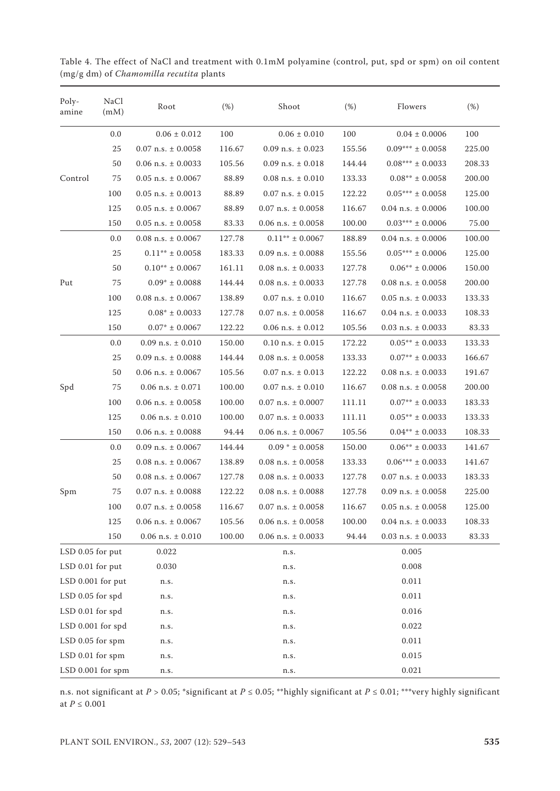| Poly-<br>amine    | NaCl<br>(mM) | Root                       | (%)    | Shoot                    | $(\%)$ | Flowers                  | (%)    |
|-------------------|--------------|----------------------------|--------|--------------------------|--------|--------------------------|--------|
|                   | 0.0          | $0.06 \pm 0.012$           | 100    | $0.06 \pm 0.010$         | 100    | $0.04 \pm 0.0006$        | 100    |
|                   | 25           | $0.07$ n.s. $\pm$ 0.0058   | 116.67 | $0.09$ n.s. $\pm$ 0.023  | 155.56 | $0.09***\pm 0.0058$      | 225.00 |
|                   | 50           | $0.06$ n.s. $\pm$ 0.0033   | 105.56 | $0.09$ n.s. $\pm$ 0.018  | 144.44 | $0.08***\pm 0.0033$      | 208.33 |
| Control           | 75           | $0.05$ n.s. $\pm$ 0.0067   | 88.89  | $0.08$ n.s. $\pm$ 0.010  | 133.33 | $0.08** \pm 0.0058$      | 200.00 |
|                   | 100          | $0.05$ n.s. $\pm$ $0.0013$ | 88.89  | $0.07$ n.s. $\pm$ 0.015  | 122.22 | $0.05***\pm 0.0058$      | 125.00 |
|                   | 125          | $0.05$ n.s. $\pm$ 0.0067   | 88.89  | $0.07$ n.s. $\pm$ 0.0058 | 116.67 | $0.04$ n.s. $\pm$ 0.0006 | 100.00 |
|                   | 150          | $0.05$ n.s. $\pm$ 0.0058   | 83.33  | $0.06$ n.s. $\pm$ 0.0058 | 100.00 | $0.03***\pm 0.0006$      | 75.00  |
|                   | 0.0          | $0.08$ n.s. $\pm$ 0.0067   | 127.78 | $0.11** \pm 0.0067$      | 188.89 | $0.04$ n.s. $\pm$ 0.0006 | 100.00 |
|                   | 25           | $0.11*** \pm 0.0058$       | 183.33 | $0.09$ n.s. $\pm$ 0.0088 | 155.56 | $0.05***\pm 0.0006$      | 125.00 |
|                   | 50           | $0.10** \pm 0.0067$        | 161.11 | $0.08$ n.s. $\pm$ 0.0033 | 127.78 | $0.06** \pm 0.0006$      | 150.00 |
| Put               | 75           | $0.09* \pm 0.0088$         | 144.44 | $0.08$ n.s. $\pm$ 0.0033 | 127.78 | $0.08$ n.s. $\pm$ 0.0058 | 200.00 |
|                   | 100          | $0.08$ n.s. $\pm$ 0.0067   | 138.89 | $0.07$ n.s. $\pm$ 0.010  | 116.67 | $0.05$ n.s. $\pm$ 0.0033 | 133.33 |
|                   | 125          | $0.08^* \pm 0.0033$        | 127.78 | $0.07$ n.s. $\pm$ 0.0058 | 116.67 | $0.04$ n.s. $\pm$ 0.0033 | 108.33 |
|                   | 150          | $0.07^* \pm 0.0067$        | 122.22 | $0.06$ n.s. $\pm$ 0.012  | 105.56 | $0.03$ n.s. $\pm$ 0.0033 | 83.33  |
|                   | 0.0          | $0.09$ n.s. $\pm$ 0.010    | 150.00 | $0.10$ n.s. $\pm$ 0.015  | 172.22 | $0.05** \pm 0.0033$      | 133.33 |
|                   | 25           | $0.09$ n.s. $\pm$ 0.0088   | 144.44 | $0.08$ n.s. $\pm$ 0.0058 | 133.33 | $0.07** \pm 0.0033$      | 166.67 |
|                   | 50           | $0.06$ n.s. $\pm$ 0.0067   | 105.56 | $0.07$ n.s. $\pm$ 0.013  | 122.22 | $0.08$ n.s. $\pm$ 0.0033 | 191.67 |
| Spd               | 75           | $0.06$ n.s. $\pm$ 0.071    | 100.00 | $0.07$ n.s. $\pm$ 0.010  | 116.67 | $0.08$ n.s. $\pm$ 0.0058 | 200.00 |
|                   | 100          | $0.06$ n.s. $\pm$ 0.0058   | 100.00 | $0.07$ n.s. $\pm$ 0.0007 | 111.11 | $0.07** \pm 0.0033$      | 183.33 |
|                   | 125          | $0.06$ n.s. $\pm$ 0.010    | 100.00 | $0.07$ n.s. $\pm$ 0.0033 | 111.11 | $0.05** \pm 0.0033$      | 133.33 |
|                   | 150          | $0.06$ n.s. $\pm$ 0.0088   | 94.44  | $0.06$ n.s. $\pm$ 0.0067 | 105.56 | $0.04** \pm 0.0033$      | 108.33 |
|                   | 0.0          | $0.09$ n.s. $\pm$ 0.0067   | 144.44 | $0.09 * ± 0.0058$        | 150.00 | $0.06** \pm 0.0033$      | 141.67 |
|                   | 25           | $0.08$ n.s. $\pm$ 0.0067   | 138.89 | $0.08$ n.s. $\pm$ 0.0058 | 133.33 | $0.06***\pm 0.0033$      | 141.67 |
|                   | 50           | $0.08$ n.s. $\pm$ 0.0067   | 127.78 | $0.08$ n.s. $\pm$ 0.0033 | 127.78 | $0.07$ n.s. $\pm$ 0.0033 | 183.33 |
| Spm               | 75           | $0.07$ n.s. $\pm$ 0.0088   | 122.22 | $0.08$ n.s. $\pm$ 0.0088 | 127.78 | $0.09$ n.s. $\pm$ 0.0058 | 225.00 |
|                   | 100          | $0.07$ n.s. $\pm$ 0.0058   | 116.67 | $0.07$ n.s. $\pm$ 0.0058 | 116.67 | $0.05$ n.s. $\pm$ 0.0058 | 125.00 |
|                   | 125          | $0.06$ n.s. $\pm$ 0.0067   | 105.56 | $0.06$ n.s. $\pm$ 0.0058 | 100.00 | $0.04$ n.s. $\pm$ 0.0033 | 108.33 |
|                   | 150          | $0.06$ n.s. $\pm$ 0.010    | 100.00 | $0.06$ n.s. $\pm$ 0.0033 | 94.44  | $0.03$ n.s. $\pm$ 0.0033 | 83.33  |
| LSD 0.05 for put  |              | 0.022                      |        | n.s.                     |        | 0.005                    |        |
| LSD 0.01 for put  |              | 0.030                      |        | n.s.                     |        | 0.008                    |        |
| LSD 0.001 for put |              | n.s.                       |        | n.s.                     |        | 0.011                    |        |
| LSD 0.05 for spd  |              | n.s.                       |        | n.s.                     |        | 0.011                    |        |
| LSD 0.01 for spd  |              | n.s.                       |        | n.s.                     |        | 0.016                    |        |
| LSD 0.001 for spd |              | n.s.                       |        | n.s.                     |        | 0.022                    |        |
| LSD 0.05 for spm  |              | n.s.                       |        | n.s.                     |        | 0.011                    |        |
| LSD 0.01 for spm  |              | n.s.                       |        | n.s.                     |        | 0.015                    |        |
| LSD 0.001 for spm |              | n.s.                       |        | n.s.                     |        | 0.021                    |        |

Table 4. The effect of NaCl and treatment with 0.1mM polyamine (control, put, spd or spm) on oil content (mg/g dm) of *Chamomilla recutita* plants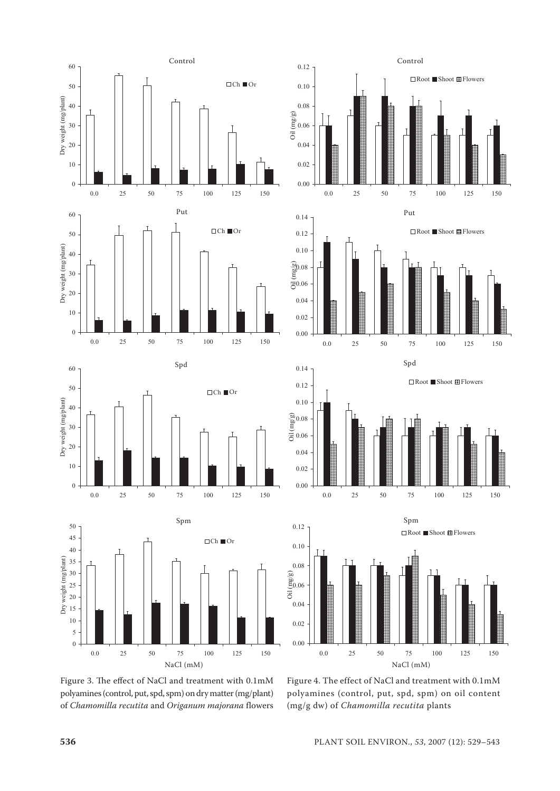









Figure 3. The effect of NaCl and treatment with 0.1mM polyamines (control, put, spd, spm) on dry matter (mg/plant) of *Chamomilla recutita* and *Origanum majorana* flowers

Figure 4. The effect of NaCl and treatment with 0.1mM polyamines (control, put, spd, spm) on oil content (mg/g dw) of *Chamomilla recutita* plants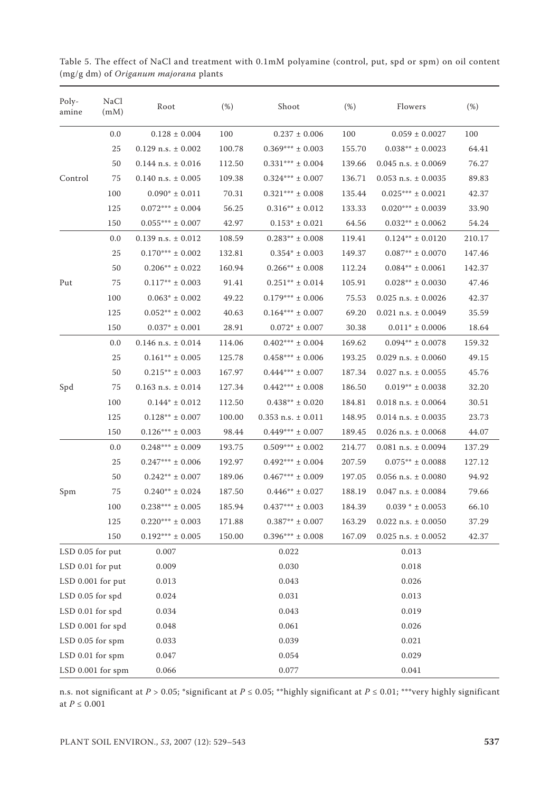| Poly-<br>amine    | NaCl<br>(mM) | Root                     | (%)    | Shoot                        | (%)    | Flowers                   | $(\%)$ |
|-------------------|--------------|--------------------------|--------|------------------------------|--------|---------------------------|--------|
|                   | 0.0          | $0.128 \pm 0.004$        | 100    | $0.237 \pm 0.006$            | 100    | $0.059 \pm 0.0027$        | 100    |
|                   | 25           | $0.129$ n.s. $\pm$ 0.002 | 100.78 | $0.369*** \pm 0.003$         | 155.70 | $0.038** \pm 0.0023$      | 64.41  |
|                   | 50           | $0.144$ n.s. $\pm$ 0.016 | 112.50 | $0.331*** \pm 0.004$         | 139.66 | $0.045$ n.s. $\pm$ 0.0069 | 76.27  |
| Control           | 75           | $0.140$ n.s. $\pm$ 0.005 | 109.38 | $0.324*** \pm 0.007$         | 136.71 | $0.053$ n.s. $\pm$ 0.0035 | 89.83  |
|                   | 100          | $0.090* \pm 0.011$       | 70.31  | $0.321*** \pm 0.008$         | 135.44 | $0.025*** \pm 0.0021$     | 42.37  |
|                   | 125          | $0.072*** \pm 0.004$     | 56.25  | $0.316** \pm 0.012$          | 133.33 | $0.020***\pm 0.0039$      | 33.90  |
|                   | 150          | $0.055*** \pm 0.007$     | 42.97  | $0.153* \pm 0.021$           | 64.56  | $0.032** \pm 0.0062$      | 54.24  |
|                   | 0.0          | $0.139$ n.s. $\pm 0.012$ | 108.59 | $0.283** \pm 0.008$          | 119.41 | $0.124** + 0.0120$        | 210.17 |
|                   | 25           | $0.170***\pm0.002$       | 132.81 | $0.354* \pm 0.003$           | 149.37 | $0.087** \pm 0.0070$      | 147.46 |
|                   | 50           | $0.206** \pm 0.022$      | 160.94 | $0.266** \pm 0.008$          | 112.24 | $0.084** \pm 0.0061$      | 142.37 |
| Put               | 75           | $0.117** \pm 0.003$      | 91.41  | $0.251** \pm 0.014$          | 105.91 | $0.028** \pm 0.0030$      | 47.46  |
|                   | 100          | $0.063* \pm 0.002$       | 49.22  | $0.179***$ ± 0.006           | 75.53  | $0.025$ n.s. $\pm$ 0.0026 | 42.37  |
|                   | 125          | $0.052** \pm 0.002$      | 40.63  | $0.164*** \pm 0.007$         | 69.20  | $0.021$ n.s. $\pm 0.0049$ | 35.59  |
|                   | 150          | $0.037* \pm 0.001$       | 28.91  | $0.072* \pm 0.007$           | 30.38  | $0.011* \pm 0.0006$       | 18.64  |
|                   | 0.0          | $0.146$ n.s. $\pm 0.014$ | 114.06 | $0.402***\pm 0.004$          | 169.62 | $0.094** \pm 0.0078$      | 159.32 |
|                   | 25           | $0.161** \pm 0.005$      | 125.78 | $0.458***$ ± 0.006           | 193.25 | $0.029$ n.s. $\pm 0.0060$ | 49.15  |
|                   | 50           | $0.215** \pm 0.003$      | 167.97 | $0.444*** \pm 0.007$         | 187.34 | $0.027$ n.s. $\pm$ 0.0055 | 45.76  |
| Spd               | 75           | $0.163$ n.s. $\pm 0.014$ | 127.34 | $0.442***\pm 0.008$          | 186.50 | $0.019** \pm 0.0038$      | 32.20  |
|                   | 100          | $0.144* \pm 0.012$       | 112.50 | $0.438** \pm 0.020$          | 184.81 | $0.018$ n.s. $\pm$ 0.0064 | 30.51  |
|                   | 125          | $0.128** \pm 0.007$      | 100.00 | 0.353 n.s. $\pm$ 0.011       | 148.95 | $0.014$ n.s. $\pm$ 0.0035 | 23.73  |
|                   | 150          | $0.126*** \pm 0.003$     | 98.44  | $0.449*** \pm 0.007$         | 189.45 | $0.026$ n.s. $\pm 0.0068$ | 44.07  |
|                   | 0.0          | $0.248***\pm0.009$       | 193.75 | $0.509*** \pm 0.002$         | 214.77 | $0.081$ n.s. $\pm 0.0094$ | 137.29 |
|                   | 25           | $0.247*** \pm 0.006$     | 192.97 | $0.492*** \pm 0.004$         | 207.59 | $0.075** \pm 0.0088$      | 127.12 |
|                   | 50           | $0.242** \pm 0.007$      | 189.06 | $0.467*** \pm 0.009$         | 197.05 | $0.056$ n.s. $\pm$ 0.0080 | 94.92  |
| Spm               | 75           | $0.240** \pm 0.024$      | 187.50 | $0.446** \pm 0.027$          | 188.19 | $0.047$ n.s. $\pm$ 0.0084 | 79.66  |
|                   | 100          | $0.238^{***}\pm 0.005$   | 185.94 | $0.437*** \pm 0.003$         | 184.39 | $0.039 * \pm 0.0053$      | 66.10  |
|                   | 125          | $0.220***\pm 0.003$      | 171.88 | $0.387^{\ast\ast} \pm 0.007$ | 163.29 | $0.022$ n.s. $\pm$ 0.0050 | 37.29  |
|                   | 150          | $0.192^{***}\pm 0.005$   | 150.00 | $0.396*** \pm 0.008$         | 167.09 | $0.025$ n.s. $\pm$ 0.0052 | 42.37  |
| LSD 0.05 for put  |              | 0.007                    |        | 0.022                        |        | 0.013                     |        |
| LSD 0.01 for put  |              | 0.009                    |        | 0.030                        |        | 0.018                     |        |
| LSD 0.001 for put |              | 0.013                    |        | 0.043                        |        | 0.026                     |        |
| LSD 0.05 for spd  |              | 0.024                    |        | 0.031                        |        | 0.013                     |        |
| LSD 0.01 for spd  |              | 0.034                    |        | 0.043                        |        | 0.019                     |        |
| LSD 0.001 for spd |              | 0.048                    |        | 0.061                        |        | 0.026                     |        |
| LSD 0.05 for spm  |              | 0.033                    |        | 0.039                        |        | 0.021                     |        |
| LSD 0.01 for spm  |              | 0.047                    |        | 0.054                        |        | 0.029                     |        |
| LSD 0.001 for spm |              | 0.066                    |        | 0.077                        |        | 0.041                     |        |

Table 5. The effect of NaCl and treatment with 0.1mM polyamine (control, put, spd or spm) on oil content (mg/g dm) of *Origanum majorana* plants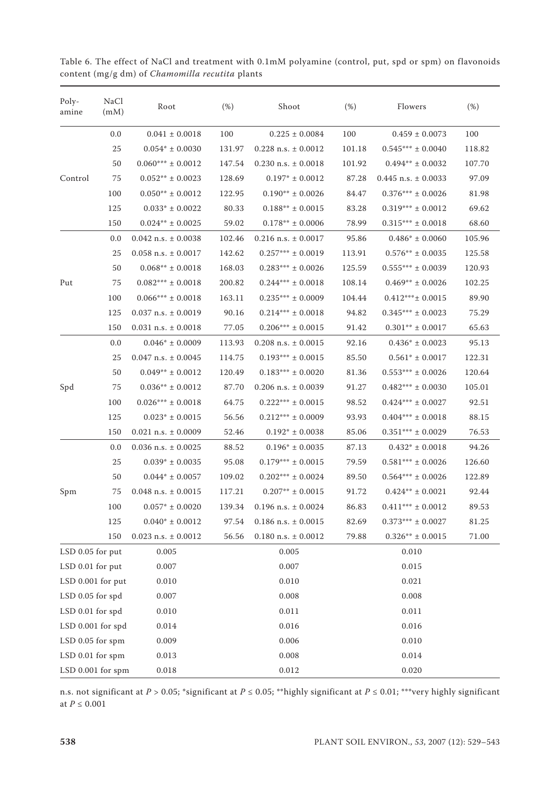| Poly-<br>amine             | NaCl<br>(mM) | Root                      | (%)    | Shoot                            | (%)    | Flowers                       | (%)    |
|----------------------------|--------------|---------------------------|--------|----------------------------------|--------|-------------------------------|--------|
|                            | 0.0          | $0.041 \pm 0.0018$        | 100    | $0.225 \pm 0.0084$               | 100    | $0.459 \pm 0.0073$            | 100    |
|                            | 25           | $0.054* \pm 0.0030$       | 131.97 | $0.228$ n.s. $\pm$ 0.0012        | 101.18 | $0.545***$ ± 0.0040           | 118.82 |
|                            | 50           | $0.060*** \pm 0.0012$     | 147.54 | $0.230$ n.s. $\pm 0.0018$        | 101.92 | $0.494** \pm 0.0032$          | 107.70 |
| Control                    | 75           | $0.052** \pm 0.0023$      | 128.69 | $0.197* \pm 0.0012$              | 87.28  | $0.445$ n.s. $\pm$ 0.0033     | 97.09  |
|                            | 100          | $0.050** \pm 0.0012$      | 122.95 | $0.190** \pm 0.0026$             | 84.47  | $0.376***$ ± 0.0026           | 81.98  |
|                            | 125          | $0.033* \pm 0.0022$       | 80.33  | $0.188** \pm 0.0015$             | 83.28  | $0.319*** \pm 0.0012$         | 69.62  |
|                            | 150          | $0.024** + 0.0025$        | 59.02  | $0.178** \pm 0.0006$             | 78.99  | $0.315*** \pm 0.0018$         | 68.60  |
|                            | 0.0          | $0.042$ n.s. $\pm$ 0.0038 | 102.46 | $0.216$ n.s. $\pm$ 0.0017        | 95.86  | $0.486* \pm 0.0060$           | 105.96 |
|                            | 25           | $0.058$ n.s. $\pm$ 0.0017 | 142.62 | $0.257***$ ± 0.0019              | 113.91 | $0.576** \pm 0.0035$          | 125.58 |
|                            | 50           | $0.068** \pm 0.0018$      | 168.03 | $0.283***$ ± 0.0026              | 125.59 | $0.555***$ ± 0.0039           | 120.93 |
| Put                        | 75           | $0.082***\pm0.0018$       | 200.82 | $0.244*** \pm 0.0018$            | 108.14 | $0.469^{**} \pm 0.0026$       | 102.25 |
|                            | 100          | $0.066***\pm0.0018$       | 163.11 | $0.235***$ ± 0.0009              | 104.44 | $0.412***\pm 0.0015$          | 89.90  |
|                            | 125          | $0.037$ n.s. $\pm 0.0019$ | 90.16  | $0.214*** \pm 0.0018$            | 94.82  | $0.345*** \pm 0.0023$         | 75.29  |
|                            | 150          | $0.031$ n.s. $\pm 0.0018$ | 77.05  | $0.206*** \pm 0.0015$            | 91.42  | $0.301** \pm 0.0017$          | 65.63  |
|                            | 0.0          | $0.046* + 0.0009$         | 113.93 | $0.208$ n.s. $\pm 0.0015$        | 92.16  | $0.436* \pm 0.0023$           | 95.13  |
|                            | 25           | $0.047$ n.s. $\pm$ 0.0045 | 114.75 | $0.193*** \pm 0.0015$            | 85.50  | $0.561* \pm 0.0017$           | 122.31 |
|                            | 50           | $0.049** \pm 0.0012$      | 120.49 | $0.183***$ ± 0.0020              | 81.36  | $0.553***$ ± 0.0026           | 120.64 |
| Spd                        | 75           | $0.036** \pm 0.0012$      | 87.70  | $0.206$ n.s. $\pm 0.0039$        | 91.27  | $0.482***$ ± 0.0030           | 105.01 |
|                            | 100          | $0.026***\pm0.0018$       | 64.75  | $0.222*** \pm 0.0015$            | 98.52  | $0.424*** \pm 0.0027$         | 92.51  |
|                            | 125          | $0.023* \pm 0.0015$       | 56.56  | $0.212*** \pm 0.0009$            | 93.93  | $0.404*** \pm 0.0018$         | 88.15  |
|                            | 150          | $0.021$ n.s. $\pm$ 0.0009 | 52.46  | $0.192* \pm 0.0038$              | 85.06  | $0.351*** \pm 0.0029$         | 76.53  |
|                            | 0.0          | $0.036$ n.s. $\pm 0.0025$ | 88.52  | $0.196* \pm 0.0035$              | 87.13  | $0.432* \pm 0.0018$           | 94.26  |
|                            | 25           | $0.039* \pm 0.0035$       | 95.08  | $0.179*** \pm 0.0015$            | 79.59  | $0.581***$ ± 0.0026           | 126.60 |
|                            | 50           | $0.044* \pm 0.0057$       | 109.02 | $0.202***\pm 0.0024$             | 89.50  | $0.564***$ ± 0.0026           | 122.89 |
| Spm                        | 75           | $0.048$ n.s. $\pm$ 0.0015 | 117.21 | $0.207** \pm 0.0015$             | 91.72  | $0.424** \pm 0.0021$          | 92.44  |
|                            | 100          | $0.057* \pm 0.0020$       |        | $139.34$ 0.196 n.s. $\pm$ 0.0024 | 86.83  | $0.411^{***}\pm 0.0012$       | 89.53  |
|                            | 125          | $0.040* \pm 0.0012$       | 97.54  | $0.186$ n.s. $\pm$ 0.0015        | 82.69  | $0.373***$ ± 0.0027           | 81.25  |
|                            | 150          | $0.023$ n.s. $\pm$ 0.0012 | 56.56  | $0.180$ n.s. $\pm$ 0.0012        | 79.88  | $0.326^{\ast\ast} \pm 0.0015$ | 71.00  |
| LSD 0.05 for put           |              | 0.005                     |        | 0.005                            |        | 0.010                         |        |
| LSD 0.01 for put           |              | 0.007                     |        | 0.007                            |        | 0.015                         |        |
| LSD 0.001 for put<br>0.010 |              |                           |        | 0.010                            |        | 0.021                         |        |
| LSD 0.05 for spd           |              | 0.007                     |        | 0.008                            |        | 0.008                         |        |
| LSD 0.01 for spd           |              | 0.010                     |        | 0.011                            |        | 0.011                         |        |
| LSD 0.001 for spd<br>0.014 |              |                           |        | 0.016                            |        | 0.016                         |        |
| LSD 0.05 for spm<br>0.009  |              |                           |        | 0.006                            |        | 0.010                         |        |
| LSD 0.01 for spm           |              | 0.013                     |        | 0.008                            |        | 0.014                         |        |
| LSD 0.001 for spm          |              | 0.018                     |        | 0.012                            |        | 0.020                         |        |

Table 6. The effect of NaCl and treatment with 0.1mM polyamine (control, put, spd or spm) on flavonoids content (mg/g dm) of *Chamomilla recutita* plants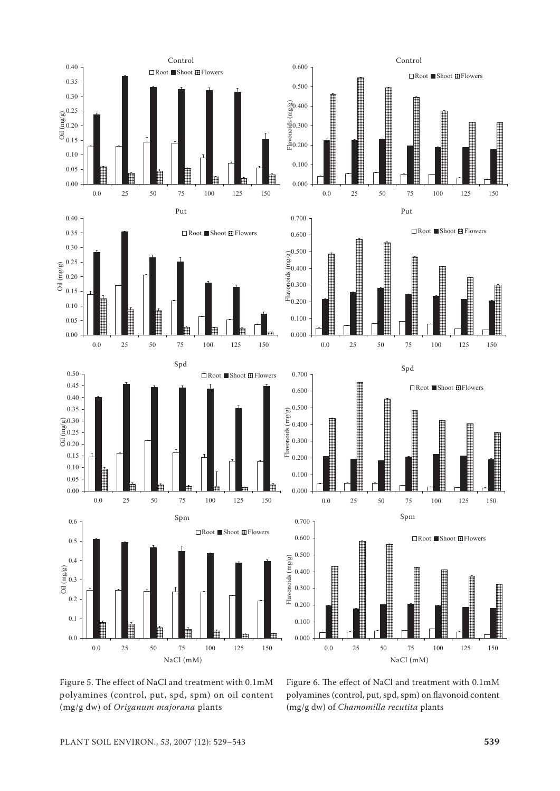

Figure 5. The effect of NaCl and treatment with 0.1mM polyamines (control, put, spd, spm) on oil content (mg/g dw) of *Origanum majorana* plants

Figure 6. The effect of NaCl and treatment with 0.1mM polyamines (control, put, spd, spm) on flavonoid content (mg/g dw) of *Chamomilla recutita* plants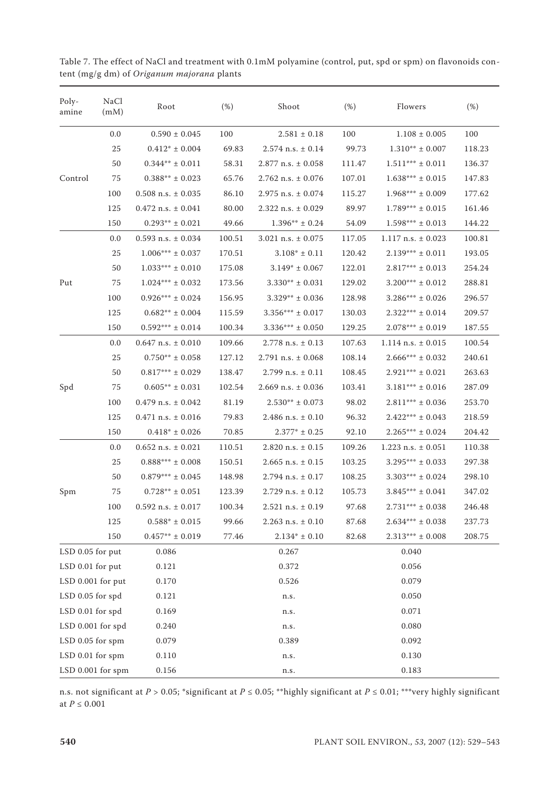| Poly-<br>amine    | NaCl<br>(mM) | Root                     | (%)    | Shoot                    | (%)    | Flowers                  | $(\%)$ |
|-------------------|--------------|--------------------------|--------|--------------------------|--------|--------------------------|--------|
|                   | 0.0          | $0.590 \pm 0.045$        | 100    | $2.581 \pm 0.18$         | 100    | $1.108 \pm 0.005$        | 100    |
|                   | 25           | $0.412* \pm 0.004$       | 69.83  | $2.574$ n.s. $\pm$ 0.14  | 99.73  | $1.310** \pm 0.007$      | 118.23 |
|                   | 50           | $0.344** \pm 0.011$      | 58.31  | $2.877$ n.s. $\pm$ 0.058 | 111.47 | $1.511*** \pm 0.011$     | 136.37 |
| Control           | 75           | $0.388** \pm 0.023$      | 65.76  | $2.762$ n.s. $\pm$ 0.076 | 107.01 | $1.638*** \pm 0.015$     | 147.83 |
|                   | 100          | $0.508$ n.s. $\pm$ 0.035 | 86.10  | $2.975$ n.s. $\pm$ 0.074 | 115.27 | $1.968***\pm0.009$       | 177.62 |
|                   | 125          | $0.472$ n.s. $\pm 0.041$ | 80.00  | $2.322$ n.s. $\pm$ 0.029 | 89.97  | $1.789*** \pm 0.015$     | 161.46 |
|                   | 150          | $0.293** \pm 0.021$      | 49.66  | $1.396** \pm 0.24$       | 54.09  | $1.598*** \pm 0.013$     | 144.22 |
|                   | 0.0          | $0.593$ n.s. $\pm$ 0.034 | 100.51 | 3.021 n.s. $\pm$ 0.075   | 117.05 | $1.117$ n.s. $\pm$ 0.023 | 100.81 |
|                   | 25           | $1.006*** \pm 0.037$     | 170.51 | $3.108* \pm 0.11$        | 120.42 | $2.139*** \pm 0.011$     | 193.05 |
|                   | 50           | $1.033*** \pm 0.010$     | 175.08 | $3.149* \pm 0.067$       | 122.01 | $2.817*** \pm 0.013$     | 254.24 |
| Put               | 75           | $1.024*** \pm 0.032$     | 173.56 | $3.330** \pm 0.031$      | 129.02 | $3.200***\pm0.012$       | 288.81 |
|                   | 100          | $0.926***\pm0.024$       | 156.95 | $3.329** \pm 0.036$      | 128.98 | $3.286***$ ± 0.026       | 296.57 |
|                   | 125          | $0.682** \pm 0.004$      | 115.59 | $3.356*** \pm 0.017$     | 130.03 | $2.322***$ ± 0.014       | 209.57 |
|                   | 150          | $0.592***\pm0.014$       | 100.34 | $3.336*** \pm 0.050$     | 129.25 | $2.078***\pm0.019$       | 187.55 |
|                   | 0.0          | $0.647$ n.s. $\pm$ 0.010 | 109.66 | $2.778$ n.s. $\pm$ 0.13  | 107.63 | $1.114$ n.s. $\pm$ 0.015 | 100.54 |
|                   | 25           | $0.750** \pm 0.058$      | 127.12 | $2.791$ n.s. $\pm 0.068$ | 108.14 | $2.666*** \pm 0.032$     | 240.61 |
|                   | 50           | $0.817*** \pm 0.029$     | 138.47 | $2.799$ n.s. $\pm$ 0.11  | 108.45 | $2.921*** \pm 0.021$     | 263.63 |
| Spd               | 75           | $0.605** \pm 0.031$      | 102.54 | $2.669$ n.s. $\pm$ 0.036 | 103.41 | $3.181*** \pm 0.016$     | 287.09 |
|                   | 100          | $0.479$ n.s. $\pm 0.042$ | 81.19  | $2.530** \pm 0.073$      | 98.02  | $2.811*** \pm 0.036$     | 253.70 |
|                   | 125          | $0.471$ n.s. $\pm$ 0.016 | 79.83  | $2.486$ n.s. $\pm$ 0.10  | 96.32  | $2.422*** \pm 0.043$     | 218.59 |
|                   | 150          | $0.418* \pm 0.026$       | 70.85  | $2.377* \pm 0.25$        | 92.10  | $2.265*** \pm 0.024$     | 204.42 |
|                   | 0.0          | $0.652$ n.s. $\pm$ 0.021 | 110.51 | $2.820$ n.s. $\pm$ 0.15  | 109.26 | $1.223$ n.s. $\pm$ 0.051 | 110.38 |
|                   | 25           | $0.888***$ ± 0.008       | 150.51 | $2.665$ n.s. $\pm$ 0.15  | 103.25 | $3.295*** \pm 0.033$     | 297.38 |
|                   | 50           | $0.879***$ ± 0.045       | 148.98 | $2.794$ n.s. $\pm$ 0.17  | 108.25 | $3.303***$ ± 0.024       | 298.10 |
| Spm               | 75           | $0.728** \pm 0.051$      | 123.39 | $2.729$ n.s. $\pm$ 0.12  | 105.73 | $3.845*** \pm 0.041$     | 347.02 |
|                   | 100          | $0.592$ n.s. $\pm 0.017$ | 100.34 | $2.521$ n.s. $\pm$ 0.19  | 97.68  | $2.731*** \pm 0.038$     | 246.48 |
|                   | 125          | $0.588* \pm 0.015$       | 99.66  | $2.263$ n.s. $\pm$ 0.10  | 87.68  | $2.634*** \pm 0.038$     | 237.73 |
|                   | 150          | $0.457** \pm 0.019$      | 77.46  | $2.134^{*} \pm 0.10$     | 82.68  | $2.313*** \pm 0.008$     | 208.75 |
| LSD 0.05 for put  |              | 0.086                    |        | 0.267                    |        | 0.040                    |        |
| LSD 0.01 for put  |              | 0.121                    |        | 0.372                    |        | 0.056                    |        |
| LSD 0.001 for put |              | 0.170                    |        | 0.526                    |        | 0.079                    |        |
| LSD 0.05 for spd  |              | 0.121                    |        | n.s.                     |        | 0.050                    |        |
| LSD 0.01 for spd  |              | 0.169                    |        | n.s.                     |        | 0.071                    |        |
| LSD 0.001 for spd |              | 0.240                    |        | n.s.                     |        | 0.080                    |        |
| LSD 0.05 for spm  |              | 0.079                    |        | 0.389                    |        | 0.092                    |        |
| LSD 0.01 for spm  |              | 0.110                    |        | n.s.                     |        | 0.130                    |        |
| LSD 0.001 for spm |              | 0.156                    |        | n.s.                     |        | 0.183                    |        |

Table 7. The effect of NaCl and treatment with 0.1mM polyamine (control, put, spd or spm) on flavonoids content (mg/g dm) of *Origanum majorana* plants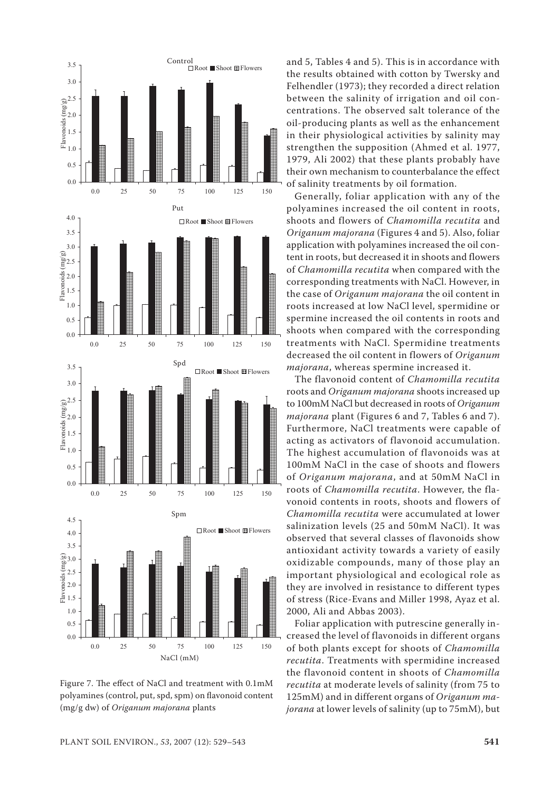

Figure 7. The effect of NaCl and treatment with 0.1mM polyamines (control, put, spd, spm) on flavonoid content (mg/g dw) of *Origanum majorana* plants

and 5, Tables 4 and 5). This is in accordance with the results obtained with cotton by Twersky and Felhendler (1973); they recorded a direct relation between the salinity of irrigation and oil concentrations. The observed salt tolerance of the oil-producing plants as well as the enhancement in their physiological activities by salinity may strengthen the supposition (Ahmed et al. 1977, 1979, Ali 2002) that these plants probably have their own mechanism to counterbalance the effect of salinity treatments by oil formation.

Generally, foliar application with any of the polyamines increased the oil content in roots, shoots and flowers of *Chamomilla recutita* and *Origanum majorana* (Figures 4 and 5). Also, foliar application with polyamines increased the oil content in roots, but decreased it in shoots and flowers of *Chamomilla recutita* when compared with the corresponding treatments with NaCl. However, in the case of *Origanum majorana* the oil content in roots increased at low NaCl level, spermidine or spermine increased the oil contents in roots and shoots when compared with the corresponding treatments with NaCl. Spermidine treatments decreased the oil content in flowers of *Origanum majorana*, whereas spermine increased it.

The flavonoid content of *Chamomilla recutita* roots and *Origanum majorana* shoots increased up to 100mM NaCl but decreased in roots of *Origanum majorana* plant (Figures 6 and 7, Tables 6 and 7). Furthermore, NaCl treatments were capable of acting as activators of flavonoid accumulation. The highest accumulation of flavonoids was at 100mM NaCl in the case of shoots and flowers of *Origanum majorana*, and at 50mM NaCl in roots of *Chamomilla recutita*. However, the flavonoid contents in roots, shoots and flowers of *Chamomilla recutita* were accumulated at lower salinization levels (25 and 50mM NaCl). It was observed that several classes of flavonoids show antioxidant activity towards a variety of easily oxidizable compounds, many of those play an important physiological and ecological role as they are involved in resistance to different types of stress (Rice-Evans and Miller 1998, Ayaz et al. 2000, Ali and Abbas 2003).

Foliar application with putrescine generally increased the level of flavonoids in different organs of both plants except for shoots of *Chamomilla recutita*. Treatments with spermidine increased the flavonoid content in shoots of *Chamomilla recutita* at moderate levels of salinity (from 75 to 125mM) and in different organs of *Origanum majorana* at lower levels of salinity (up to 75mM), but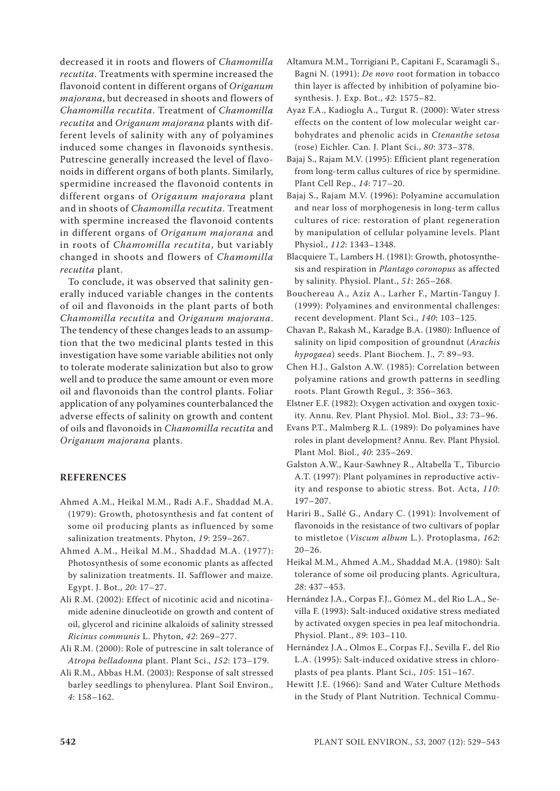decreased it in roots and flowers of *Chamomilla recutita*. Treatments with spermine increased the flavonoid content in different organs of *Origanum majorana*, but decreased in shoots and flowers of *Chamomilla recutita*. Treatment of *Chamomilla recutita* and *Origanum majorana* plants with different levels of salinity with any of polyamines induced some changes in flavonoids synthesis. Putrescine generally increased the level of flavonoids in different organs of both plants. Similarly, spermidine increased the flavonoid contents in different organs of *Origanum majorana* plant and in shoots of *Chamomilla recutita*. Treatment with spermine increased the flavonoid contents in different organs of *Origanum majorana* and in roots of *Chamomilla recutita*, but variably changed in shoots and flowers of *Chamomilla recutita* plant.

To conclude, it was observed that salinity generally induced variable changes in the contents of oil and flavonoids in the plant parts of both *Chamomilla recutita* and *Origanum majorana*. The tendency of these changes leads to an assumption that the two medicinal plants tested in this investigation have some variable abilities not only to tolerate moderate salinization but also to grow well and to produce the same amount or even more oil and flavonoids than the control plants. Foliar application of any polyamines counterbalanced the adverse effects of salinity on growth and content of oils and flavonoids in *Chamomilla recutita* and *Origanum majorana* plants.

## **REFERENCES**

- Ahmed A.M., Heikal M.M., Radi A.F., Shaddad M.A. (1979): Growth, photosynthesis and fat content of some oil producing plants as influenced by some salinization treatments. Phyton, *19*: 259–267.
- Ahmed A.M., Heikal M.M., Shaddad M.A. (1977): Photosynthesis of some economic plants as affected by salinization treatments. II. Safflower and maize. Egypt. J. Bot., *20*: 17–27.
- Ali R.M. (2002): Effect of nicotinic acid and nicotinamide adenine dinucleotide on growth and content of oil, glycerol and ricinine alkaloids of salinity stressed *Ricinus communis* L. Phyton, *42*: 269–277.
- Ali R.M. (2000): Role of putrescine in salt tolerance of *Atropa belladonna* plant. Plant Sci., *152*: 173–179.
- Ali R.M., Abbas H.M. (2003): Response of salt stressed barley seedlings to phenylurea. Plant Soil Environ., *4*: 158–162.
- Altamura M.M., Torrigiani P., Capitani F., Scaramagli S., Bagni N. (1991): *De novo* root formation in tobacco thin layer is affected by inhibition of polyamine biosynthesis. J. Exp. Bot., *42*: 1575–82.
- Ayaz F.A., Kadioglu A., Turgut R. (2000): Water stress effects on the content of low molecular weight carbohydrates and phenolic acids in *Ctenanthe setosa* (rose) Eichler. Can. J. Plant Sci., *80*: 373–378.
- Bajaj S., Rajam M.V. (1995): Efficient plant regeneration from long-term callus cultures of rice by spermidine. Plant Cell Rep., *14*: 717–20.
- Bajaj S., Rajam M.V. (1996): Polyamine accumulation and near loss of morphogenesis in long-term callus cultures of rice: restoration of plant regeneration by manipulation of cellular polyamine levels. Plant Physiol., *112*: 1343–1348.
- Blacquiere T., Lambers H. (1981): Growth, photosynthesis and respiration in *Plantago coronopus* as affected by salinity. Physiol. Plant., *51*: 265–268.
- Bouchereau A., Aziz A., Larher F., Martin-Tanguy J. (1999): Polyamines and environmental challenges: recent development. Plant Sci., *140*: 103–125.
- Chavan P., Rakash M., Karadge B.A. (1980): Influence of salinity on lipid composition of groundnut (*Arachis hypogaea*) seeds. Plant Biochem. J., *7*: 89–93.
- Chen H.J., Galston A.W. (1985): Correlation between polyamine rations and growth patterns in seedling roots. Plant Growth Regul., *3*: 356–363.
- Elstner E.F. (1982): Oxygen activation and oxygen toxicity. Annu. Rev. Plant Physiol. Mol. Biol., *33*: 73–96.
- Evans P.T., Malmberg R.L. (1989): Do polyamines have roles in plant development? Annu. Rev. Plant Physiol. Plant Mol. Biol., *40*: 235–269.
- Galston A.W., Kaur-Sawhney R., Altabella T., Tiburcio A.T. (1997): Plant polyamines in reproductive activity and response to abiotic stress. Bot. Acta, *110*: 197–207.
- Hariri B., Sallé G., Andary C. (1991): Involvement of flavonoids in the resistance of two cultivars of poplar to mistletoe (*Viscum album* L*.*). Protoplasma, *162*:  $20 - 26.$
- Heikal M.M., Ahmed A.M., Shaddad M.A. (1980): Salt tolerance of some oil producing plants. Agricultura, *28*: 437–453.
- Hernández J.A., Corpas F.J., Gómez M., del Rio L.A., Sevilla F. (1993): Salt-induced oxidative stress mediated by activated oxygen species in pea leaf mitochondria. Physiol. Plant., *89*: 103–110.
- Hernández J.A., Olmos E., Corpas F.J., Sevilla F., del Rio L.A. (1995): Salt-induced oxidative stress in chloroplasts of pea plants. Plant Sci., *105*: 151–167.
- Hewitt J.E. (1966): Sand and Water Culture Methods in the Study of Plant Nutrition. Technical Commu-